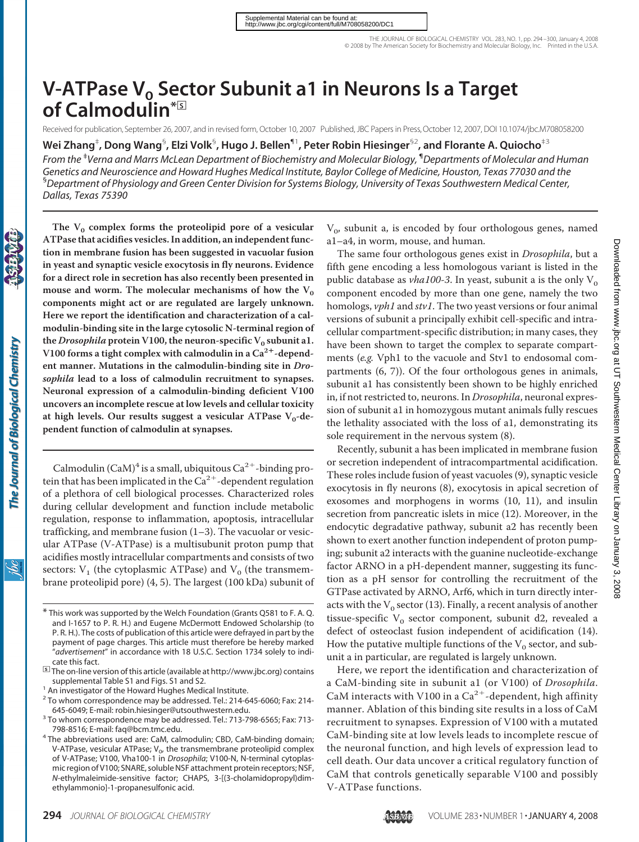# **V-ATPase V<sub>o</sub> Sector Subunit a1 in Neurons Is a Target of Calmodulin\***□**<sup>S</sup>**

Received for publication, September 26, 2007, and in revised form, October 10, 2007 Published, JBC Papers in Press,October 12, 2007, DOI 10.1074/jbc.M708058200

**Wei Zhang**‡ **, Dong Wang**§ **, Elzi Volk**§ **, Hugo J. Bellen**¶1**, Peter Robin Hiesinger**§2**, and Florante A. Quiocho**‡3

*From the* ‡ *Verna and Marrs McLean Department of Biochemistry and Molecular Biology,* ¶ *Departments of Molecular and Human Genetics and Neuroscience and Howard Hughes Medical Institute, Baylor College of Medicine, Houston, Texas 77030 and the* § *Department of Physiology and Green Center Division for Systems Biology, University of Texas Southwestern Medical Center, Dallas, Texas 75390*

The  $V_0$  complex forms the proteolipid pore of a vesicular **ATPase that acidifies vesicles. In addition, an independent function in membrane fusion has been suggested in vacuolar fusion in yeast and synaptic vesicle exocytosis in fly neurons. Evidence for a direct role in secretion has also recently been presented in** mouse and worm. The molecular mechanisms of how the  $V_0$ **components might act or are regulated are largely unknown. Here we report the identification and characterization of a calmodulin-binding site in the large cytosolic N-terminal region of** the *Drosophila* protein V100, the neuron-specific  $V_0$  subunit a1. **V100 forms a tight complex with calmodulin in a Ca2-dependent manner. Mutations in the calmodulin-binding site in** *Drosophila* **lead to a loss of calmodulin recruitment to synapses. Neuronal expression of a calmodulin-binding deficient V100 uncovers an incomplete rescue at low levels and cellular toxicity** at high levels. Our results suggest a vesicular ATPase V<sub>0</sub>-de**pendent function of calmodulin at synapses.**

Calmodulin (CaM)<sup>4</sup> is a small, ubiquitous  $Ca^{2+}$ -binding protein that has been implicated in the  $Ca^{2+}$ -dependent regulation of a plethora of cell biological processes. Characterized roles during cellular development and function include metabolic regulation, response to inflammation, apoptosis, intracellular trafficking, and membrane fusion (1–3). The vacuolar or vesicular ATPase (V-ATPase) is a multisubunit proton pump that acidifies mostly intracellular compartments and consists of two sectors:  $V_1$  (the cytoplasmic ATPase) and  $V_0$  (the transmembrane proteolipid pore) (4, 5). The largest (100 kDa) subunit of  $V<sub>0</sub>$ , subunit a, is encoded by four orthologous genes, named a1–a4, in worm, mouse, and human.

The same four orthologous genes exist in *Drosophila*, but a fifth gene encoding a less homologous variant is listed in the public database as *vha100-3*. In yeast, subunit a is the only  $V_0$ component encoded by more than one gene, namely the two homologs, *vph1* and *stv1*. The two yeast versions or four animal versions of subunit a principally exhibit cell-specific and intracellular compartment-specific distribution; in many cases, they have been shown to target the complex to separate compartments (*e.g.* Vph1 to the vacuole and Stv1 to endosomal compartments (6, 7)). Of the four orthologous genes in animals, subunit a1 has consistently been shown to be highly enriched in, if not restricted to, neurons. In *Drosophila*, neuronal expression of subunit a1 in homozygous mutant animals fully rescues the lethality associated with the loss of a1, demonstrating its sole requirement in the nervous system (8).

Recently, subunit a has been implicated in membrane fusion or secretion independent of intracompartmental acidification. These roles include fusion of yeast vacuoles (9), synaptic vesicle exocytosis in fly neurons (8), exocytosis in apical secretion of exosomes and morphogens in worms (10, 11), and insulin secretion from pancreatic islets in mice (12). Moreover, in the endocytic degradative pathway, subunit a2 has recently been shown to exert another function independent of proton pumping; subunit a2 interacts with the guanine nucleotide-exchange factor ARNO in a pH-dependent manner, suggesting its function as a pH sensor for controlling the recruitment of the GTPase activated by ARNO, Arf6, which in turn directly interacts with the  $V_0$  sector (13). Finally, a recent analysis of another tissue-specific  $V_0$  sector component, subunit d2, revealed a defect of osteoclast fusion independent of acidification (14). How the putative multiple functions of the  $V_0$  sector, and subunit a in particular, are regulated is largely unknown.

Here, we report the identification and characterization of a CaM-binding site in subunit a1 (or V100) of *Drosophila*. CaM interacts with V100 in a  $Ca^{2+}$ -dependent, high affinity manner. Ablation of this binding site results in a loss of CaM recruitment to synapses. Expression of V100 with a mutated CaM-binding site at low levels leads to incomplete rescue of the neuronal function, and high levels of expression lead to cell death. Our data uncover a critical regulatory function of CaM that controls genetically separable V100 and possibly V-ATPase functions.

ŇС

<sup>\*</sup> This work was supported by the Welch Foundation (Grants Q581 to F. A. Q. and I-1657 to P. R. H.) and Eugene McDermott Endowed Scholarship (to P. R. H.). The costs of publication of this article were defrayed in part by the payment of page charges. This article must therefore be hereby marked "*advertisement*" in accordance with 18 U.S.C. Section 1734 solely to indicate this fact.

<sup>□</sup>**<sup>S</sup>** The on-line version of this article (available at http://www.jbc.org) contains supplemental Table S1 and Figs. S1 and S2. <sup>1</sup> An investigator of the Howard Hughes Medical Institute.

<sup>2</sup> To whom correspondence may be addressed. Tel.: 214-645-6060; Fax: 214-

<sup>645-6049;</sup> E-mail: robin.hiesinger@utsouthwestern.edu.<br><sup>3</sup> To whom correspondence may be addressed. Tel.: 713-798-6565; Fax: 713-

<sup>798-8516;</sup> E-mail: faq@bcm.tmc.edu. <sup>4</sup> The abbreviations used are: CaM, calmodulin; CBD, CaM-binding domain; V-ATPase, vesicular ATPase;  $V<sub>0</sub>$ , the transmembrane proteolipid complex of V-ATPase; V100, Vha100-1 in *Drosophila*; V100-N, N-terminal cytoplasmic region of V100; SNARE, soluble NSF attachment protein receptors; NSF, *N*-ethylmaleimide-sensitive factor; CHAPS, 3-[(3-cholamidopropyl)dimethylammonio]-1-propanesulfonic acid.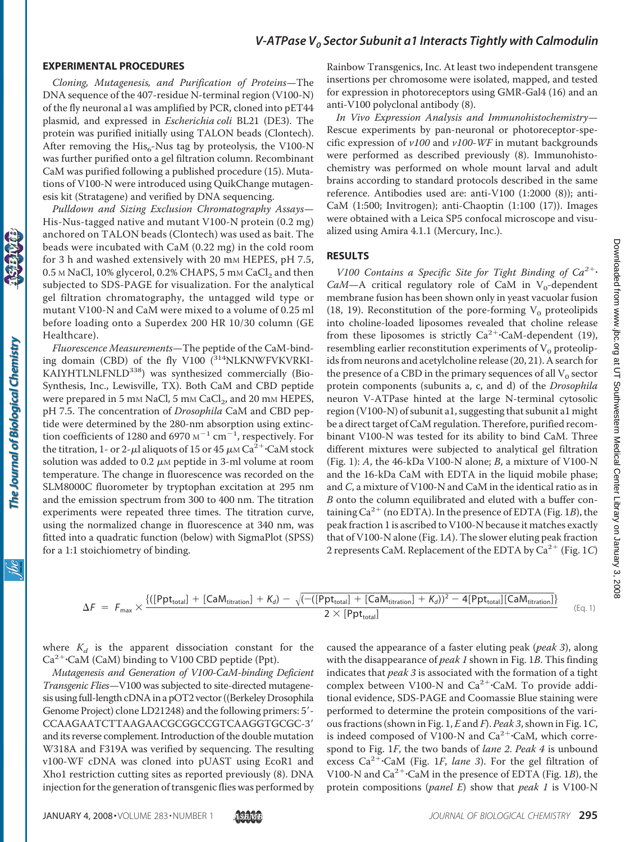#### **EXPERIMENTAL PROCEDURES**

*Cloning, Mutagenesis, and Purification of Proteins*—The DNA sequence of the 407-residue N-terminal region (V100-N) of the fly neuronal a1 was amplified by PCR, cloned into pET44 plasmid, and expressed in *Escherichia coli* BL21 (DE3). The protein was purified initially using TALON beads (Clontech). After removing the  $His<sub>6</sub>$ -Nus tag by proteolysis, the V100-N was further purified onto a gel filtration column. Recombinant CaM was purified following a published procedure (15). Mutations of V100-N were introduced using QuikChange mutagenesis kit (Stratagene) and verified by DNA sequencing.

*Pulldown and Sizing Exclusion Chromatography Assays*— His-Nus-tagged native and mutant V100-N protein (0.2 mg) anchored on TALON beads (Clontech) was used as bait. The beads were incubated with CaM (0.22 mg) in the cold room for 3 h and washed extensively with 20 mm HEPES, pH 7.5,  $0.5$  M NaCl,  $10\%$  glycerol,  $0.2\%$  CHAPS,  $5$  mM CaCl<sub>2</sub> and then subjected to SDS-PAGE for visualization. For the analytical gel filtration chromatography, the untagged wild type or mutant V100-N and CaM were mixed to a volume of 0.25 ml before loading onto a Superdex 200 HR 10/30 column (GE Healthcare).

*Fluorescence Measurements*—The peptide of the CaM-binding domain (CBD) of the fly V100  $(^{314}$ NLKNWFVKVRKI-KAIYHTLNLFNLD<sup>338</sup>) was synthesized commercially (Bio-Synthesis, Inc., Lewisville, TX). Both CaM and CBD peptide were prepared in 5 mm NaCl, 5 mm CaCl<sub>2</sub>, and 20 mm HEPES, pH 7.5. The concentration of *Drosophila* CaM and CBD peptide were determined by the 280-nm absorption using extinction coefficients of 1280 and 6970  $M^{-1}$  cm<sup>-1</sup>, respectively. For the titration, 1- or 2- $\mu$ l aliquots of 15 or 45  $\mu$ m Ca<sup>2+</sup>·CaM stock solution was added to 0.2  $\mu$ M peptide in 3-ml volume at room temperature. The change in fluorescence was recorded on the SLM8000C fluorometer by tryptophan excitation at 295 nm and the emission spectrum from 300 to 400 nm. The titration experiments were repeated three times. The titration curve, using the normalized change in fluorescence at 340 nm, was fitted into a quadratic function (below) with SigmaPlot (SPSS) for a 1:1 stoichiometry of binding.

Rainbow Transgenics, Inc. At least two independent transgene insertions per chromosome were isolated, mapped, and tested for expression in photoreceptors using GMR-Gal4 (16) and an anti-V100 polyclonal antibody (8).

*In Vivo Expression Analysis and Immunohistochemistry*— Rescue experiments by pan-neuronal or photoreceptor-specific expression of *v100* and *v100-WF* in mutant backgrounds were performed as described previously (8). Immunohistochemistry was performed on whole mount larval and adult brains according to standard protocols described in the same reference. Antibodies used are: anti-V100 (1:2000 (8)); anti-CaM (1:500; Invitrogen); anti-Chaoptin (1:100 (17)). Images were obtained with a Leica SP5 confocal microscope and visualized using Amira 4.1.1 (Mercury, Inc.).

#### **RESULTS**

*V100 Contains a Specific Site for Tight Binding of Ca2*-  $CaM-A$  critical regulatory role of CaM in V<sub>0</sub>-dependent membrane fusion has been shown only in yeast vacuolar fusion (18, 19). Reconstitution of the pore-forming  $V_0$  proteolipids into choline-loaded liposomes revealed that choline release from these liposomes is strictly  $Ca^{2+}$ ·CaM-dependent (19), resembling earlier reconstitution experiments of  $V_0$  proteolipids from neurons and acetylcholine release (20, 21). A search for the presence of a CBD in the primary sequences of all  $V_0$  sector protein components (subunits a, c, and d) of the *Drosophila* neuron V-ATPase hinted at the large N-terminal cytosolic region (V100-N) of subunit a1, suggesting that subunit a1 might be a direct target of CaM regulation. Therefore, purified recombinant V100-N was tested for its ability to bind CaM. Three different mixtures were subjected to analytical gel filtration (Fig. 1): *A*, the 46-kDa V100-N alone; *B*, a mixture of V100-N and the 16-kDa CaM with EDTA in the liquid mobile phase; and *C*, a mixture of V100-N and CaM in the identical ratio as in *B* onto the column equilibrated and eluted with a buffer containing  $Ca^{2+}$  (no EDTA). In the presence of EDTA (Fig. 1*B*), the peak fraction 1 is ascribed to V100-N because it matches exactly that of V100-N alone (Fig. 1*A*). The slower eluting peak fraction 2 represents CaM. Replacement of the EDTA by  $Ca^{2+}$  (Fig. 1*C*)

The Journal of Biological Chemistry

$$
\Delta F = F_{max} \times \frac{ \{ ([Ppt_{total}] + [CaM_{titration}] + K_d) - \sqrt{(-([Ppt_{total}] + [CaM_{titration}] + K_d))^2 - 4[Ppt_{total}] [CaM_{titration}]} \} }{2 \times [Ppt_{total}]}
$$
 (Eq. 1)

where  $K_d$  is the apparent dissociation constant for the Ca<sup>2+</sup>·CaM (CaM) binding to V100 CBD peptide (Ppt).

*Mutagenesis and Generation of V100-CaM-binding Deficient Transgenic Flies*—V100 was subjected to site-directed mutagenesis using full-length cDNA in a pOT2 vector ((Berkeley Drosophila Genome Project) clone LD21248) and the following primers: 5'-CCAAGAATCTTAAGAACGCGGCCGTCAAGGTGCGC-3 and its reverse complement. Introduction of the double mutation W318A and F319A was verified by sequencing. The resulting v100-WF cDNA was cloned into pUAST using EcoR1 and Xho1 restriction cutting sites as reported previously (8). DNA injection for the generation of transgenic flies was performed by

caused the appearance of a faster eluting peak (*peak 3*), along with the disappearance of *peak 1* shown in Fig. 1*B*. This finding indicates that *peak 3* is associated with the formation of a tight complex between V100-N and Ca<sup>2+</sup>·CaM. To provide additional evidence, SDS-PAGE and Coomassie Blue staining were performed to determine the protein compositions of the various fractions (shown in Fig. 1, *E* and *F*). *Peak 3*, shown in Fig. 1*C*, is indeed composed of V100-N and  $Ca^{2+}\cdot CaM$ , which correspond to Fig. 1*F*, the two bands of *lane 2*. *Peak 4* is unbound excess Ca<sup>2+</sup>·CaM (Fig. 1*F*, lane 3). For the gel filtration of V100-N and Ca<sup>2+</sup>·CaM in the presence of EDTA (Fig. 1*B*), the protein compositions (*panel E*) show that *peak 1* is V100-N

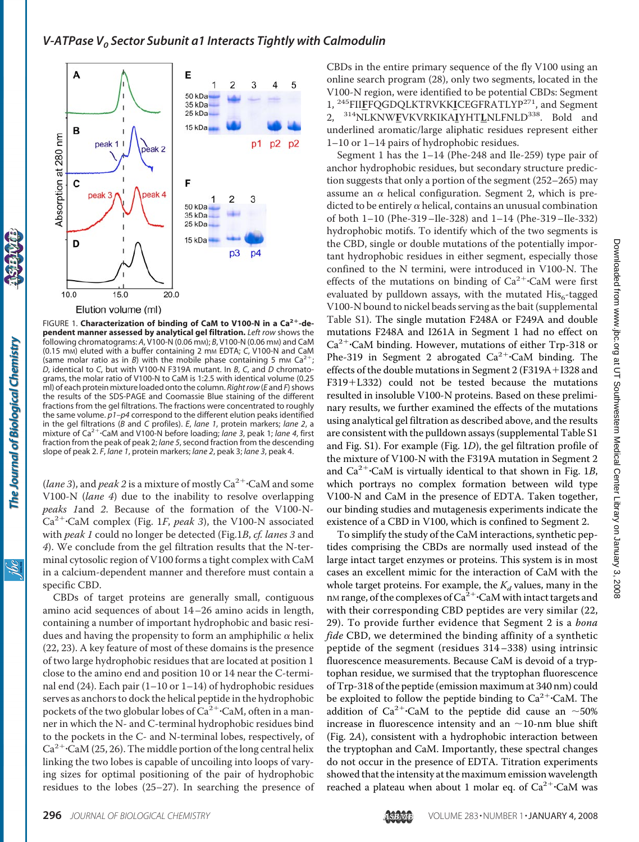

FIGURE 1. **Characterization of binding of CaM to V100-N in a Ca2-dependent manner assessed by analytical gel filtration.** *Left row* shows the following chromatograms: *A*, V100-N (0.06 mM); *B*, V100-N (0.06 mM) and CaM (0.15 mM) eluted with a buffer containing 2 mM EDTA; *C*, V100-N and CaM (same molar ratio as in *B*) with the mobile phase containing 5 mm  $Ca^{2+}$ ; *D*, identical to *C*, but with V100-N F319A mutant. In *B*, *C*, and *D* chromatograms, the molar ratio of V100-N to CaM is 1:2.5 with identical volume (0.25 ml) of each protein mixture loaded onto the column. *Right row* (*E* and *F*) shows the results of the SDS-PAGE and Coomassie Blue staining of the different fractions from the gel filtrations. The fractions were concentrated to roughly the same volume. *p1–p4* correspond to the different elution peaks identified in the gel filtrations (*B* and *C* profiles). *E*, *lane 1*, protein markers; *lane 2*, a mixture of Ca2-CaM and V100-N before loading; *lane 3*, peak 1; *lane 4*, first fraction from the peak of peak 2; *lane 5*, second fraction from the descending slope of peak 2. *F*, *lane 1*, protein markers; *lane 2*, peak 3; *lane 3*, peak 4.

(*lane 3*), and *peak 2* is a mixture of mostly  $Ca^{2+}$ ·CaM and some V100-N (*lane 4*) due to the inability to resolve overlapping *peaks 1*and *2*. Because of the formation of the V100-N-Ca2-CaM complex (Fig. 1*F*, *peak 3*), the V100-N associated with *peak 1* could no longer be detected (Fig.1*B*, *cf. lanes 3* and *4*). We conclude from the gel filtration results that the N-terminal cytosolic region of V100 forms a tight complex with CaM in a calcium-dependent manner and therefore must contain a specific CBD.

CBDs of target proteins are generally small, contiguous amino acid sequences of about 14–26 amino acids in length, containing a number of important hydrophobic and basic residues and having the propensity to form an amphiphilic  $\alpha$  helix (22, 23). A key feature of most of these domains is the presence of two large hydrophobic residues that are located at position 1 close to the amino end and position 10 or 14 near the C-terminal end (24). Each pair (1–10 or 1–14) of hydrophobic residues serves as anchors to dock the helical peptide in the hydrophobic pockets of the two globular lobes of  $Ca^{2+}$ ·CaM, often in a manner in which the N- and C-terminal hydrophobic residues bind to the pockets in the C- and N-terminal lobes, respectively, of  $Ca^{2+}$ ·CaM (25, 26). The middle portion of the long central helix linking the two lobes is capable of uncoiling into loops of varying sizes for optimal positioning of the pair of hydrophobic residues to the lobes (25–27). In searching the presence of

CBDs in the entire primary sequence of the fly V100 using an online search program (28), only two segments, located in the V100-N region, were identified to be potential CBDs: Segment 1, 245FII**F**FQGDQLKTRVKK**I**CEGFRATLYP271, and Segment 2, 314NLKNW**F**VKVRKIKA**I**YHT**L**NLFNLD338. Bold and underlined aromatic/large aliphatic residues represent either 1–10 or 1–14 pairs of hydrophobic residues.

Segment 1 has the 1–14 (Phe-248 and Ile-259) type pair of anchor hydrophobic residues, but secondary structure prediction suggests that only a portion of the segment (252–265) may assume an  $\alpha$  helical configuration. Segment 2, which is predicted to be entirely  $\alpha$  helical, contains an unusual combination of both 1–10 (Phe-319–Ile-328) and 1–14 (Phe-319–Ile-332) hydrophobic motifs. To identify which of the two segments is the CBD, single or double mutations of the potentially important hydrophobic residues in either segment, especially those confined to the N termini, were introduced in V100-N. The effects of the mutations on binding of  $Ca^{2+}$ ·CaM were first evaluated by pulldown assays, with the mutated  $His<sub>6</sub>$ -tagged V100-N bound to nickel beads serving as the bait (supplemental Table [S1\)](http://www.jbc.org/cgi/content/full//DC1). The single mutation F248A or F249A and double mutations F248A and I261A in Segment 1 had no effect on Ca<sup>2+</sup>·CaM binding. However, mutations of either Trp-318 or Phe-319 in Segment 2 abrogated  $Ca^{2+}$ ·CaM binding. The effects of the double mutations in Segment 2 (F319A+I328 and F319+L332) could not be tested because the mutations resulted in insoluble V100-N proteins. Based on these preliminary results, we further examined the effects of the mutations using analytical gel filtration as described above, and the results are consistent with the pulldown assays (supplemental Table [S1](http://www.jbc.org/cgi/content/full//DC1) and Fig. [S1\)](http://www.jbc.org/cgi/content/full//DC1). For example (Fig. 1*D*), the gel filtration profile of the mixture of V100-N with the F319A mutation in Segment 2 and Ca<sup>2+</sup>·CaM is virtually identical to that shown in Fig. 1B, which portrays no complex formation between wild type V100-N and CaM in the presence of EDTA. Taken together, our binding studies and mutagenesis experiments indicate the existence of a CBD in V100, which is confined to Segment 2.

To simplify the study of the CaM interactions, synthetic peptides comprising the CBDs are normally used instead of the large intact target enzymes or proteins. This system is in most cases an excellent mimic for the interaction of CaM with the whole target proteins. For example, the  $K_d$  values, many in the nM range, of the complexes of  $\text{Ca}^{\text{2+}}$  CaM with intact targets and with their corresponding CBD peptides are very similar (22, 29). To provide further evidence that Segment 2 is a *bona fide* CBD, we determined the binding affinity of a synthetic peptide of the segment (residues 314–338) using intrinsic fluorescence measurements. Because CaM is devoid of a tryptophan residue, we surmised that the tryptophan fluorescence of Trp-318 of the peptide (emission maximum at 340 nm) could be exploited to follow the peptide binding to  $Ca^{2+}$ ·CaM. The addition of Ca<sup>2+</sup>·CaM to the peptide did cause an  $\sim$ 50% increase in fluorescence intensity and an  $\sim$ 10-nm blue shift (Fig. 2*A*), consistent with a hydrophobic interaction between the tryptophan and CaM. Importantly, these spectral changes do not occur in the presence of EDTA. Titration experiments showed that the intensity at the maximum emission wavelength reached a plateau when about 1 molar eq. of  $Ca^{2+}$ ·CaM was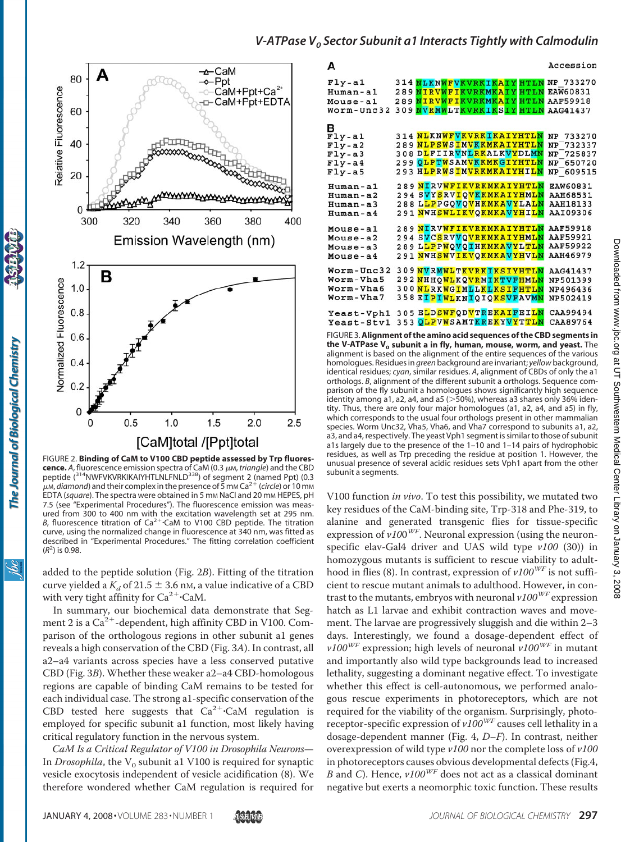

FIGURE 2. **Binding of CaM to V100 CBD peptide assessed by Trp fluorescence.** A, fluorescence emission spectra of CaM (0.3  $\mu$ m, *triangle*) and the CBD peptide (<sup>314</sup>NWFVKVRKIKAIYHTLNLFNLD<sup>338</sup>) of segment 2 (named Ppt) (0.3 μ.*M, diamond*) and their complex in the presence of 5 mm Ca<sup>2+</sup> (*circle*) or 10 mm EDTA (*square*). The spectra were obtained in 5 mM NaCl and 20 mM HEPES, pH 7.5 (see "Experimental Procedures"). The fluorescence emission was measured from 300 to 400 nm with the excitation wavelength set at 295 nm. B, fluorescence titration of  $Ca^{2+}$ ·CaM to V100 CBD peptide. The titration curve, using the normalized change in fluorescence at 340 nm, was fitted as described in "Experimental Procedures." The fitting correlation coefficient (*R*2 ) is 0.98.

added to the peptide solution (Fig. 2*B*). Fitting of the titration curve yielded a  $K_d$  of 21.5  $\pm$  3.6 nm, a value indicative of a CBD with very tight affinity for  $Ca^{2+}$ ·CaM.

In summary, our biochemical data demonstrate that Segment 2 is a  $Ca^{2+}$ -dependent, high affinity CBD in V100. Comparison of the orthologous regions in other subunit a1 genes reveals a high conservation of the CBD (Fig. 3*A*). In contrast, all a2–a4 variants across species have a less conserved putative CBD (Fig. 3*B*). Whether these weaker a2–a4 CBD-homologous regions are capable of binding CaM remains to be tested for each individual case. The strong a1-specific conservation of the CBD tested here suggests that  $Ca^{2+}$ ·CaM regulation is employed for specific subunit a1 function, most likely having critical regulatory function in the nervous system.

*CaM Is a Critical Regulator of V100 in Drosophila Neurons*— In *Drosophila*, the  $V_0$  subunit a1 V100 is required for synaptic vesicle exocytosis independent of vesicle acidification (8). We therefore wondered whether CaM regulation is required for

| А                    |                                                                      | Accession       |
|----------------------|----------------------------------------------------------------------|-----------------|
| $Fly - a1$           | 314 NLKNWFVKVRKIKAIY HTLN NP 733270                                  |                 |
| Human-al             | 289 NIRVWFIKVRKMKAIY HTLN                                            | <b>EAW60831</b> |
| Mouse-al             | 289 NIRVWFIKVRKMKAIY HTLN                                            | AAF59918        |
| Worm-Unc32           | 309 NVRMWLTKVRKIKSIY HTLN                                            | AAG41437        |
| в                    |                                                                      |                 |
| $\overline{F}$ ly-al | 314 NLKNWFVKVRKIKAIYHTLN                                             | NP 733270       |
| $Fly - a2$           | 289 NLPSWSIMVKKMKAIYHTLN                                             | NP 732337       |
| $Fly - a3$           | 308 DLFIIRVNLRKALKVYDLMN                                             | NP 725837       |
| $Fly - a4$           | 299 QLPTWSAMVKKMKGIYHTLN                                             | NP 650720       |
| $Fly - a5$           | 293 HLPRWSIMVRKMKAIYHILN                                             | NP 609515       |
| Human-al             | 289 NIRVWFIKVRKMKAIYHTLN                                             | <b>EAW60831</b> |
| Human-a2             | 294 SVYSRVIQVKKMKAIYHML <mark>N</mark>                               | AAH68531        |
| Human-a3             | 288 L <mark>LP</mark> PGQ <mark>VQVHKMKAVY</mark> LA <mark>LN</mark> | <b>AAH18133</b> |
| Human-a4             | 291 NWHSWLIKVOKMKAVYHILN                                             | AAI09306        |
| Mouse-al             | 289 NIRVWFIKVRKMKAIYHTLN                                             | AAF59918        |
| Mouse-a2             | 294 SVCSRVVQVRKMKAIYHMLN                                             | AAF59921        |
| Mouse-a3             | 289 L <mark>LPPWQVQIHKMKAVYLTLN</mark>                               | AAF59922        |
| Mouse-a4             | 291 NWH <mark>SWVIKVQKMKAVYHVLN</mark>                               | AAH46979        |
| Worm-Unc32           | 309 NVRMWLTKVRKIKSIYHTLN                                             | AAG41437        |
| Worm-Vha5            | 292 NHHQWLKQVRMIKTVFHMLN                                             | NP501399        |
| Worm-Vha6            | 300 NLRKWGIMLLKLKSIFHTLN                                             | NP496436        |
| Worm-Vha7            | 358 EIPIWLKNIQIQKSVFAVMN                                             | NP502419        |
| Yeast-Vph1           | 305 ELDSWFQDVTREKAIFEILN                                             | CAA99494        |
| Yeast-Stv1           | 353 QLPVWSAMTKREKYVYTTLN                                             | CAA89764        |
|                      |                                                                      |                 |

FIGURE 3.**Alignment of the amino acid sequences of the CBD segments in the V-ATPase V<sub>o</sub> subunit a in fly, human, mouse, worm, and yeast.** The alignment is based on the alignment of the entire sequences of the various homologues. Residues in *green* background are invariant; *yellow* background, identical residues; *cyan*, similar residues. *A*, alignment of CBDs of only the a1 orthologs. *B*, alignment of the different subunit a orthologs. Sequence comparison of the fly subunit a homologues shows significantly high sequence identity among a1, a2, a4, and a5 ( 50%), whereas a3 shares only 36% identity. Thus, there are only four major homologues (a1, a2, a4, and a5) in fly, which corresponds to the usual four orthologs present in other mammalian species. Worm Unc32, Vha5, Vha6, and Vha7 correspond to subunits a1, a2, a3, and a4, respectively. The yeast Vph1 segment is similar to those of subunit a1s largely due to the presence of the 1–10 and 1–14 pairs of hydrophobic residues, as well as Trp preceding the residue at position 1. However, the unusual presence of several acidic residues sets Vph1 apart from the other subunit a segments.

V100 function *in vivo*. To test this possibility, we mutated two key residues of the CaM-binding site, Trp-318 and Phe-319, to alanine and generated transgenic flies for tissue-specific expression of  $v100^{WF}$ . Neuronal expression (using the neuronspecific elav-Gal4 driver and UAS wild type *v100* (30)) in homozygous mutants is sufficient to rescue viability to adulthood in flies (8). In contrast, expression of *v100WF* is not sufficient to rescue mutant animals to adulthood. However, in contrast to the mutants, embryos with neuronal *v100WF* expression hatch as L1 larvae and exhibit contraction waves and movement. The larvae are progressively sluggish and die within 2–3 days. Interestingly, we found a dosage-dependent effect of  $v100^{WF}$  expression; high levels of neuronal  $v100^{WF}$  in mutant and importantly also wild type backgrounds lead to increased lethality, suggesting a dominant negative effect. To investigate whether this effect is cell-autonomous, we performed analogous rescue experiments in photoreceptors, which are not required for the viability of the organism. Surprisingly, photoreceptor-specific expression of *v100WF* causes cell lethality in a dosage-dependent manner (Fig. 4, *D–F*). In contrast, neither overexpression of wild type *v100* nor the complete loss of *v100* in photoreceptors causes obvious developmental defects (Fig.4, *B* and *C*). Hence, *v100WF* does not act as a classical dominant negative but exerts a neomorphic toxic function. These results

ibc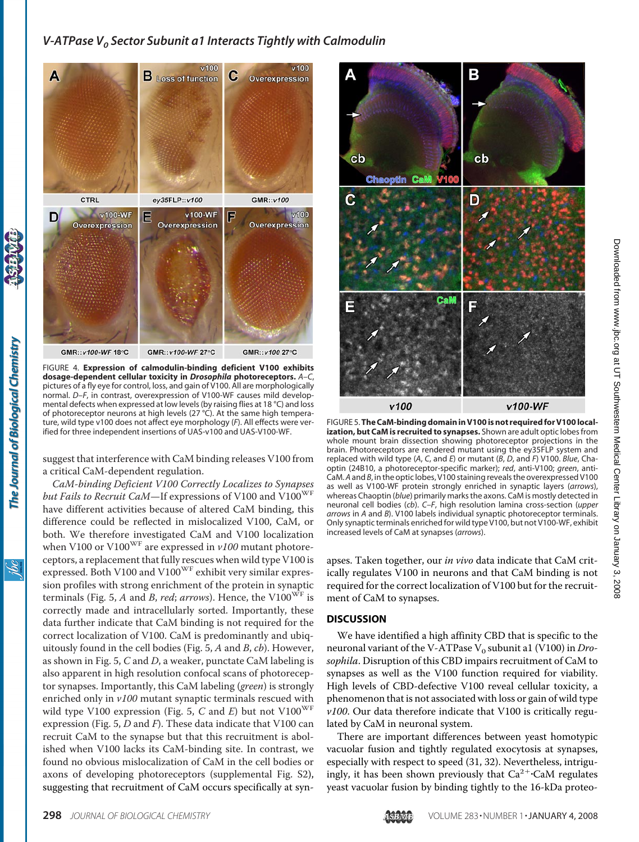

FIGURE 4. **Expression of calmodulin-binding deficient V100 exhibits dosage-dependent cellular toxicity in** *Drosophila* **photoreceptors.** *A*–*C*, pictures of a fly eye for control, loss, and gain of V100. All are morphologically normal. *D*–*F*, in contrast, overexpression of V100-WF causes mild developmental defects when expressed at low levels (by raising flies at 18 °C) and loss of photoreceptor neurons at high levels (27 °C). At the same high temperature, wild type v100 does not affect eye morphology (*F*). All effects were verified for three independent insertions of UAS-v100 and UAS-V100-WF.

suggest that interference with CaM binding releases V100 from a critical CaM-dependent regulation.

*CaM-binding Deficient V100 Correctly Localizes to Synapses* but Fails to Recruit CaM-If expressions of V100 and V100<sup>WF</sup> have different activities because of altered CaM binding, this difference could be reflected in mislocalized V100, CaM, or both. We therefore investigated CaM and V100 localization when V100 or V100<sup>WF</sup> are expressed in *v100* mutant photoreceptors, a replacement that fully rescues when wild type V100 is expressed. Both V100 and V100<sup>WF</sup> exhibit very similar expression profiles with strong enrichment of the protein in synaptic terminals (Fig. 5, *A* and *B*, *red*; *arrows*). Hence, the V100WF is correctly made and intracellularly sorted. Importantly, these data further indicate that CaM binding is not required for the correct localization of V100. CaM is predominantly and ubiquitously found in the cell bodies (Fig. 5, *A* and *B*, *cb*). However, as shown in Fig. 5, *C* and *D*, a weaker, punctate CaM labeling is also apparent in high resolution confocal scans of photoreceptor synapses. Importantly, this CaM labeling (*green*) is strongly enriched only in *v100* mutant synaptic terminals rescued with wild type V100 expression (Fig. 5, C and E) but not V100<sup>WF</sup> expression (Fig. 5, *D* and *F*). These data indicate that V100 can recruit CaM to the synapse but that this recruitment is abolished when V100 lacks its CaM-binding site. In contrast, we found no obvious mislocalization of CaM in the cell bodies or axons of developing photoreceptors (supplemental Fig. [S2\)](http://www.jbc.org/cgi/content/full//DC1), suggesting that recruitment of CaM occurs specifically at syn-



FIGURE 5. The CaM-binding domain in V100 is not required for V100 local**ization, but CaM is recruited to synapses.** Shown are adult optic lobes from whole mount brain dissection showing photoreceptor projections in the brain. Photoreceptors are rendered mutant using the ey35FLP system and replaced with wild type (*A*, *C*, and *E*) or mutant (*B*, *D*, and *F*) V100. *Blue*, Chaoptin (24B10, a photoreceptor-specific marker); *red*, anti-V100; *green*, anti-CaM. *A* and *B*, in the optic lobes, V100 staining reveals the overexpressed V100 as well as V100-WF protein strongly enriched in synaptic layers (*arrows*), whereas Chaoptin (*blue*) primarily marks the axons. CaM is mostly detected in neuronal cell bodies (*cb*). *C–F*, high resolution lamina cross-section (*upper arrows* in *A* and *B*). V100 labels individual synaptic photoreceptor terminals. Only synaptic terminals enriched for wild type V100, but not V100-WF, exhibit increased levels of CaM at synapses (*arrows*).

apses. Taken together, our *in vivo* data indicate that CaM critically regulates V100 in neurons and that CaM binding is not required for the correct localization of V100 but for the recruitment of CaM to synapses.

#### **DISCUSSION**

We have identified a high affinity CBD that is specific to the neuronal variant of the V-ATPase V<sub>0</sub> subunit a1 (V100) in *Drosophila*. Disruption of this CBD impairs recruitment of CaM to synapses as well as the V100 function required for viability. High levels of CBD-defective V100 reveal cellular toxicity, a phenomenon that is not associated with loss or gain of wild type *v100*. Our data therefore indicate that V100 is critically regulated by CaM in neuronal system.

There are important differences between yeast homotypic vacuolar fusion and tightly regulated exocytosis at synapses, especially with respect to speed (31, 32). Nevertheless, intriguingly, it has been shown previously that  $Ca^{2+}$ ·CaM regulates yeast vacuolar fusion by binding tightly to the 16-kDa proteo-

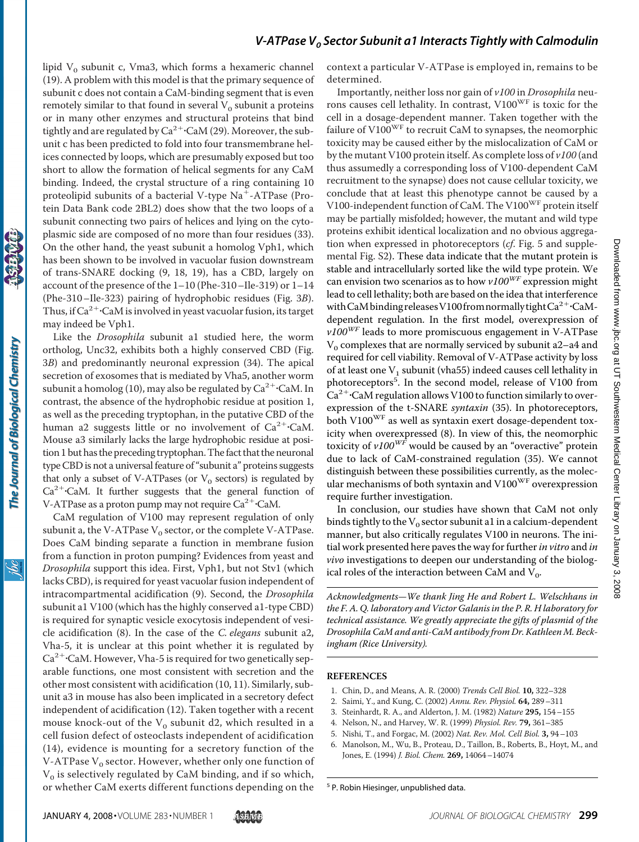lipid  $V_0$  subunit c, Vma3, which forms a hexameric channel (19). A problem with this model is that the primary sequence of subunit c does not contain a CaM-binding segment that is even remotely similar to that found in several  $V_0$  subunit a proteins or in many other enzymes and structural proteins that bind tightly and are regulated by  $\text{Ca}^{2+}\text{\cdot}\text{CaM}$  (29). Moreover, the subunit c has been predicted to fold into four transmembrane helices connected by loops, which are presumably exposed but too short to allow the formation of helical segments for any CaM binding. Indeed, the crystal structure of a ring containing 10 proteolipid subunits of a bacterial V-type  $Na^+$ -ATPase (Protein Data Bank code 2BL2) does show that the two loops of a subunit connecting two pairs of helices and lying on the cytoplasmic side are composed of no more than four residues (33). On the other hand, the yeast subunit a homolog Vph1, which has been shown to be involved in vacuolar fusion downstream of trans-SNARE docking (9, 18, 19), has a CBD, largely on account of the presence of the 1–10 (Phe-310–Ile-319) or 1–14 (Phe-310–Ile-323) pairing of hydrophobic residues (Fig. 3*B*). Thus, if  $Ca^{2+}$ ·CaM is involved in yeast vacuolar fusion, its target may indeed be Vph1.

Like the *Drosophila* subunit a1 studied here, the worm ortholog, Unc32, exhibits both a highly conserved CBD (Fig. 3*B*) and predominantly neuronal expression (34). The apical secretion of exosomes that is mediated by Vha5, another worm subunit a homolog (10), may also be regulated by  $\text{Ca}^{2+}\text{\textcdot{CaM}}$ . In contrast, the absence of the hydrophobic residue at position 1, as well as the preceding tryptophan, in the putative CBD of the human a2 suggests little or no involvement of  $Ca^{2+}$ ·CaM. Mouse a3 similarly lacks the large hydrophobic residue at position 1 but has the preceding tryptophan.The fact that the neuronal type CBD is not a universal feature of "subunit a" proteins suggests that only a subset of V-ATPases (or  $V_0$  sectors) is regulated by  $Ca<sup>2+</sup> CaM.$  It further suggests that the general function of V-ATPase as a proton pump may not require Ca<sup>2+</sup>·CaM.

The Journal of Biological Chemistry

CaM regulation of V100 may represent regulation of only subunit a, the V-ATPase  $V_0$  sector, or the complete V-ATPase. Does CaM binding separate a function in membrane fusion from a function in proton pumping? Evidences from yeast and *Drosophila* support this idea. First, Vph1, but not Stv1 (which lacks CBD), is required for yeast vacuolar fusion independent of intracompartmental acidification (9). Second, the *Drosophila* subunit a1 V100 (which has the highly conserved a1-type CBD) is required for synaptic vesicle exocytosis independent of vesicle acidification (8). In the case of the *C. elegans* subunit a2, Vha-5, it is unclear at this point whether it is regulated by Ca<sup>2+</sup>·CaM. However, Vha-5 is required for two genetically separable functions, one most consistent with secretion and the other most consistent with acidification (10, 11). Similarly, subunit a3 in mouse has also been implicated in a secretory defect independent of acidification (12). Taken together with a recent mouse knock-out of the  $V_0$  subunit d2, which resulted in a cell fusion defect of osteoclasts independent of acidification (14), evidence is mounting for a secretory function of the V-ATPase  $V_0$  sector. However, whether only one function of  $V<sub>0</sub>$  is selectively regulated by CaM binding, and if so which, or whether CaM exerts different functions depending on the

context a particular V-ATPase is employed in, remains to be determined.

Importantly, neither loss nor gain of *v100* in *Drosophila* neurons causes cell lethality. In contrast, V100WF is toxic for the cell in a dosage-dependent manner. Taken together with the failure of  $V100^{WF}$  to recruit CaM to synapses, the neomorphic toxicity may be caused either by the mislocalization of CaM or by the mutant V100 protein itself. As complete loss of *v100* (and thus assumedly a corresponding loss of V100-dependent CaM recruitment to the synapse) does not cause cellular toxicity, we conclude that at least this phenotype cannot be caused by a V100-independent function of CaM. The V100<sup>WF</sup> protein itself may be partially misfolded; however, the mutant and wild type proteins exhibit identical localization and no obvious aggregation when expressed in photoreceptors (*cf*. Fig. 5 and supplemental Fig. [S2\)](http://www.jbc.org/cgi/content/full//DC1). These data indicate that the mutant protein is stable and intracellularly sorted like the wild type protein. We can envision two scenarios as to how  $v100^{WF}$  expression might lead to cell lethality; both are based on the idea that interference with CaM binding releases V100 from normally tight Ca<sup>2+</sup>·CaMdependent regulation. In the first model, overexpression of  $v100^{WF}$  leads to more promiscuous engagement in V-ATPase  $V_0$  complexes that are normally serviced by subunit a2–a4 and required for cell viability. Removal of V-ATPase activity by loss of at least one  $V_1$  subunit (vha55) indeed causes cell lethality in photoreceptors<sup>5</sup>. In the second model, release of V100 from  $\text{Ca}^{2+}\text{\cdot}\text{CaM}$  regulation allows V100 to function similarly to overexpression of the t-SNARE *syntaxin* (35). In photoreceptors, both V100<sup>WF</sup> as well as syntaxin exert dosage-dependent toxicity when overexpressed (8). In view of this, the neomorphic toxicity of *v100WF* would be caused by an "overactive" protein due to lack of CaM-constrained regulation (35). We cannot distinguish between these possibilities currently, as the molecular mechanisms of both syntaxin and V100<sup>WF</sup> overexpression require further investigation.

In conclusion, our studies have shown that CaM not only binds tightly to the  $V_0$  sector subunit a1 in a calcium-dependent manner, but also critically regulates V100 in neurons. The initial work presented here paves the way for further*in vitro* and *in vivo* investigations to deepen our understanding of the biological roles of the interaction between CaM and  $V_0$ .

*Acknowledgments—We thank Jing He and Robert L. Welschhans in the F. A. Q. laboratory and Victor Galanis in the P. R. H laboratory for technical assistance. We greatly appreciate the gifts of plasmid of the Drosophila CaM and anti-CaM antibody from Dr. Kathleen M. Beckingham (Rice University).*

#### **REFERENCES**

- 1. Chin, D., and Means, A. R. (2000) *Trends Cell Biol.* **10,** 322–328
- 2. Saimi, Y., and Kung, C. (2002) *Annu. Rev. Physiol.* **64,** 289–311
- 3. Steinhardt, R. A., and Alderton, J. M. (1982) *Nature* **295,** 154–155
- 4. Nelson, N., and Harvey, W. R. (1999) *Physiol. Rev.* **79,** 361–385
- 5. Nishi, T., and Forgac, M. (2002) *Nat. Rev. Mol. Cell Biol.* **3,** 94–103
- 6. Manolson, M., Wu, B., Proteau, D., Taillon, B., Roberts, B., Hoyt, M., and Jones, E. (1994) *J. Biol. Chem.* **269,** 14064–14074

<sup>5</sup> P. Robin Hiesinger, unpublished data.